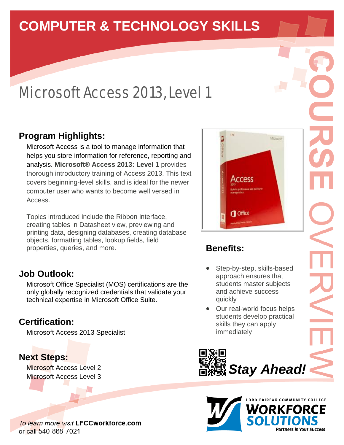# **COMPUTER & TECHNOLOGY SKILLS**

# Microsoft Access 2013, Level 1

# **Program Highlights:**

Microsoft Access is a tool to manage information that helps you store information for reference, reporting and analysis. **Microsoft® Access 2013: Level 1** provides thorough introductory training of Access 2013. This text covers beginning-level skills, and is ideal for the newer computer user who wants to become well versed in Access.

Topics introduced include the Ribbon interface, creating tables in Datasheet view, previewing and printing data, designing databases, creating database objects, formatting tables, lookup fields, field properties, queries, and more.

### **Job Outlook:**

Microsoft Office Specialist (MOS) certifications are the only globally recognized credentials that validate your technical expertise in Microsoft Office Suite.

## **Certification:**

Microsoft Access 2013 Specialist

### **Next Steps:**

Microsoft Access Level 2 Microsoft Access Level 3

To learn more visit LFCCworkforce.com or call 540-868-7021



# **Benefits:**

- Step-by-step, skills-based approach ensures that students master subjects and achieve success quickly
- Our real-world focus helps students develop practical skills they can apply immediately